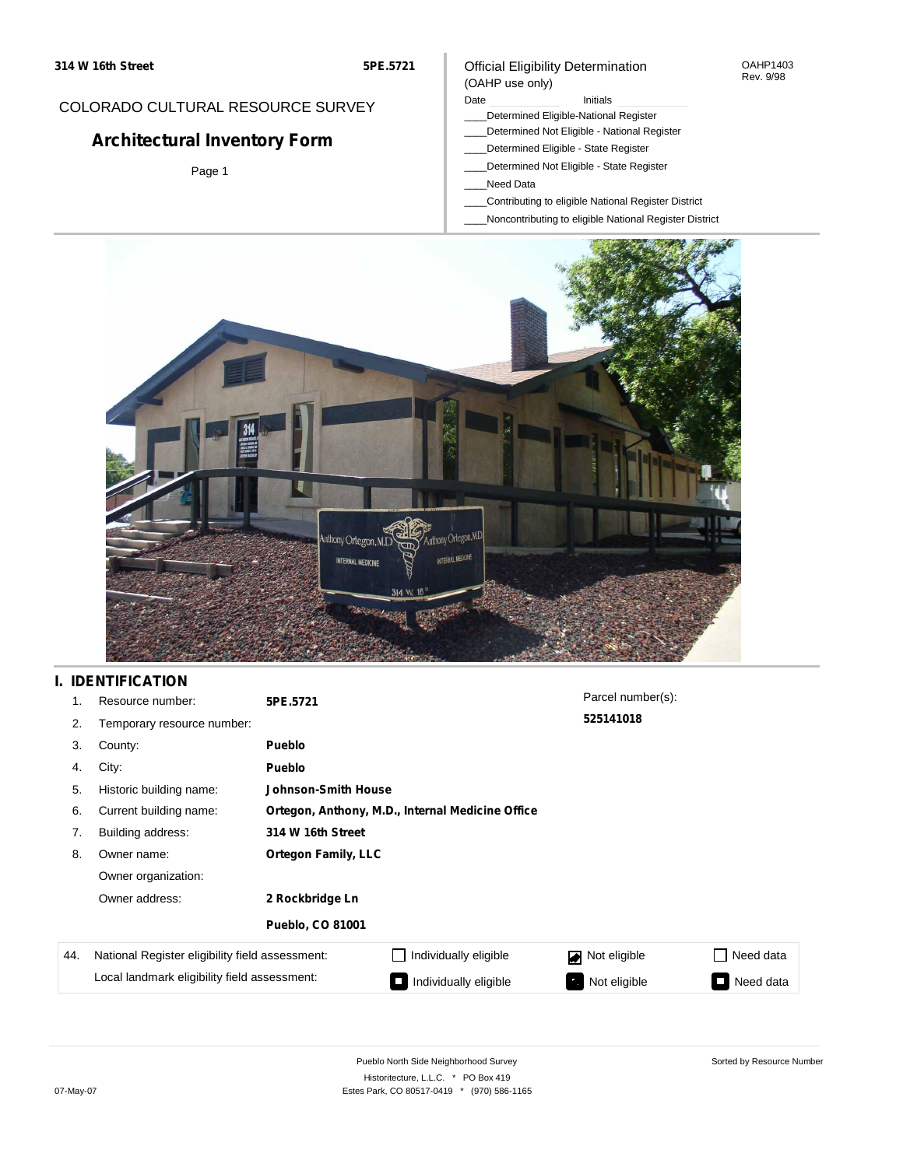#### OAHP1403 Rev. 9/98

### COLORADO CULTURAL RESOURCE SURVEY

# **Architectural Inventory Form**

Page 1

#### (OAHP use only) Date **Initials** Initials

Official Eligibility Determination

- \_\_\_\_Determined Eligible-National Register
- \_\_\_\_Determined Not Eligible National Register
- \_\_\_\_Determined Eligible State Register
- \_\_\_\_Determined Not Eligible State Register
- \_\_\_\_Need Data
- \_\_\_\_Contributing to eligible National Register District
- \_\_\_\_Noncontributing to eligible National Register District



## **I. IDENTIFICATION**

| 1.  | Resource number:                                | 5PE.5721                   |                                                  | Parcel number(s): |           |
|-----|-------------------------------------------------|----------------------------|--------------------------------------------------|-------------------|-----------|
| 2.  | Temporary resource number:                      |                            |                                                  | 525141018         |           |
| 3.  | County:                                         | Pueblo                     |                                                  |                   |           |
| 4.  | City:                                           | Pueblo                     |                                                  |                   |           |
| 5.  | Historic building name:                         | Johnson-Smith House        |                                                  |                   |           |
| 6.  | Current building name:                          |                            | Ortegon, Anthony, M.D., Internal Medicine Office |                   |           |
| 7.  | Building address:                               | 314 W 16th Street          |                                                  |                   |           |
| 8.  | Owner name:                                     | <b>Ortegon Family, LLC</b> |                                                  |                   |           |
|     | Owner organization:                             |                            |                                                  |                   |           |
|     | Owner address:                                  | 2 Rockbridge Ln            |                                                  |                   |           |
|     |                                                 | <b>Pueblo, CO 81001</b>    |                                                  |                   |           |
| 44. | National Register eligibility field assessment: |                            | Individually eligible                            | Not eligible<br>◪ | Need data |
|     | Local landmark eligibility field assessment:    |                            | Individually eligible                            | Not eligible      | Need data |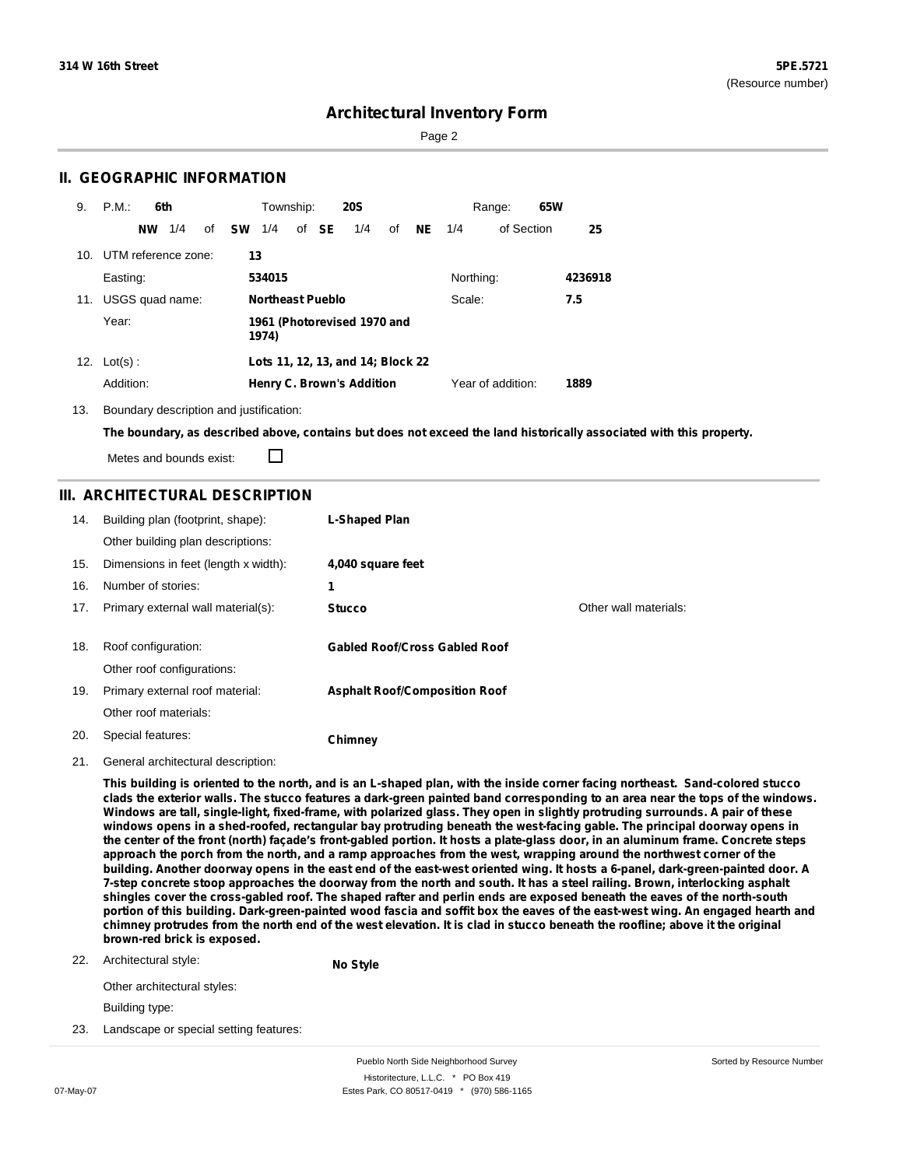Page 2

### **II. GEOGRAPHIC INFORMATION**

| 9.  | P.M.                | 6th       |     |    |           | Township:               |       | <b>20S</b>                        |    |           |           | Range:            | 65W |         |
|-----|---------------------|-----------|-----|----|-----------|-------------------------|-------|-----------------------------------|----|-----------|-----------|-------------------|-----|---------|
|     |                     | <b>NW</b> | 1/4 | of | <b>SW</b> | 1/4                     | of SE | 1/4                               | of | <b>NE</b> | 1/4       | of Section        |     | 25      |
| 10. | UTM reference zone: |           |     |    | 13        |                         |       |                                   |    |           |           |                   |     |         |
|     | Easting:            |           |     |    |           | 534015                  |       |                                   |    |           | Northing: |                   |     | 4236918 |
| 11. | USGS quad name:     |           |     |    |           | <b>Northeast Pueblo</b> |       |                                   |    |           | Scale:    |                   |     | 7.5     |
|     | Year:               |           |     |    |           | 1974)                   |       | 1961 (Photorevised 1970 and       |    |           |           |                   |     |         |
|     | 12. $Lot(s)$ :      |           |     |    |           |                         |       | Lots 11, 12, 13, and 14; Block 22 |    |           |           |                   |     |         |
|     | Addition:           |           |     |    |           |                         |       | <b>Henry C. Brown's Addition</b>  |    |           |           | Year of addition: |     | 1889    |

13. Boundary description and justification:

The boundary, as described above, contains but does not exceed the land historically associated with this property.

П Metes and bounds exist:

### **III. ARCHITECTURAL DESCRIPTION**

| 14. | Building plan (footprint, shape):<br>Other building plan descriptions: | <b>L-Shaped Plan</b>                 |                       |
|-----|------------------------------------------------------------------------|--------------------------------------|-----------------------|
| 15. | Dimensions in feet (length x width):                                   | 4,040 square feet                    |                       |
| 16. | Number of stories:                                                     | 1                                    |                       |
| 17. | Primary external wall material(s):                                     | <b>Stucco</b>                        | Other wall materials: |
|     |                                                                        |                                      |                       |
| 18. | Roof configuration:                                                    | <b>Gabled Roof/Cross Gabled Roof</b> |                       |
|     | Other roof configurations:                                             |                                      |                       |
| 19. | Primary external roof material:                                        | <b>Asphalt Roof/Composition Roof</b> |                       |
|     | Other roof materials:                                                  |                                      |                       |
| 20. | Special features:                                                      | Chimney                              |                       |

21. General architectural description:

This building is oriented to the north, and is an L-shaped plan, with the inside corner facing northeast. Sand-colored stucco clads the exterior walls. The stucco features a dark-green painted band corresponding to an area near the tops of the windows. Windows are tall, single-light, fixed-frame, with polarized glass. They open in slightly protruding surrounds. A pair of these windows opens in a shed-roofed, rectangular bay protruding beneath the west-facing gable. The principal doorway opens in the center of the front (north) facade's front-gabled portion. It hosts a plate-glass door, in an aluminum frame. Concrete steps approach the porch from the north, and a ramp approaches from the west, wrapping around the northwest corner of the building. Another doorway opens in the east end of the east-west oriented wing. It hosts a 6-panel, dark-green-painted door. A 7-step concrete stoop approaches the doorway from the north and south. It has a steel railing. Brown, interlocking asphalt shingles cover the cross-gabled roof. The shaped rafter and perlin ends are exposed beneath the eaves of the north-south portion of this building. Dark-green-painted wood fascia and soffit box the eaves of the east-west wing. An engaged hearth and chimney protrudes from the north end of the west elevation. It is clad in stucco beneath the roofline; above it the original **brown-red brick is exposed.**

22. Architectural style:

**No Style**

Other architectural styles:

Building type:

23. Landscape or special setting features: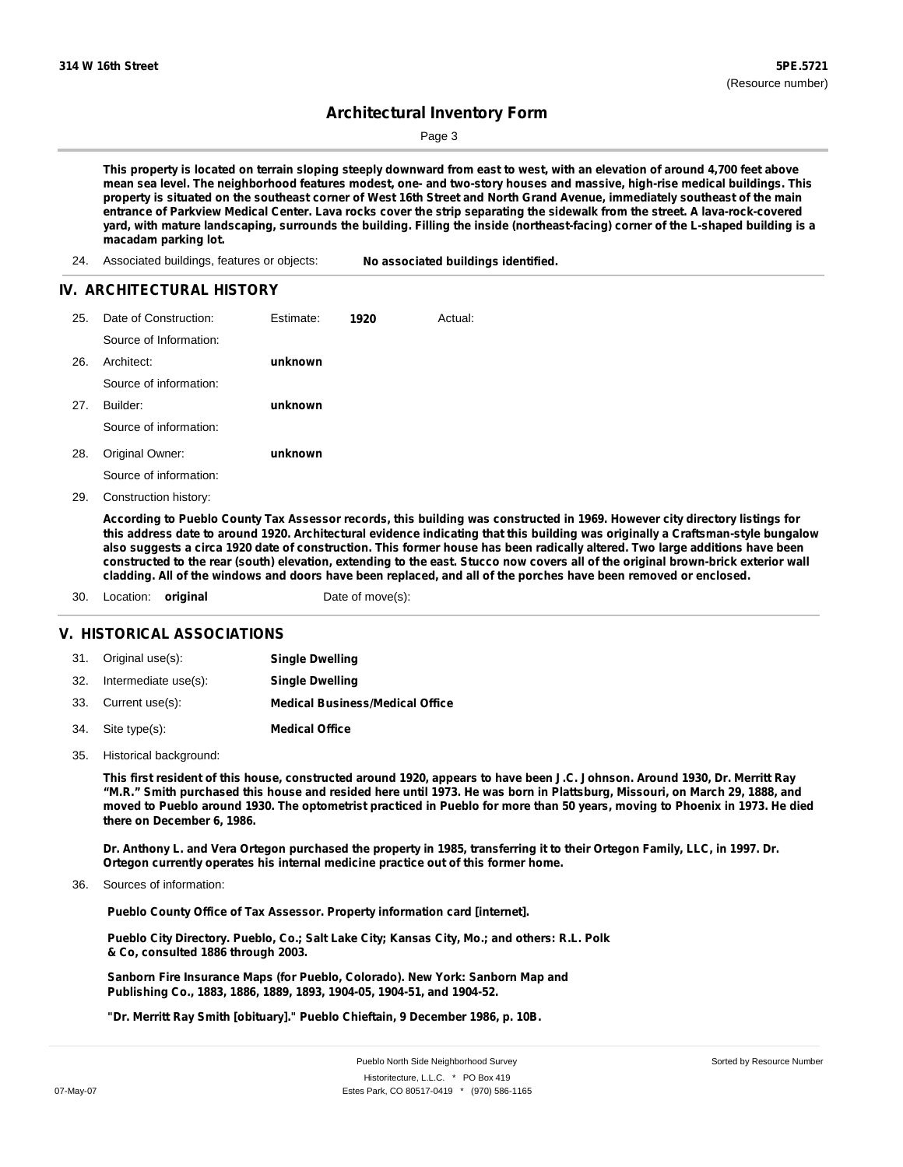Page 3

This property is located on terrain sloping steeply downward from east to west, with an elevation of around 4,700 feet above mean sea level. The neighborhood features modest, one- and two-story houses and massive, high-rise medical buildings. This property is situated on the southeast corner of West 16th Street and North Grand Avenue, immediately southeast of the main entrance of Parkview Medical Center. Lava rocks cover the strip separating the sidewalk from the street. A lava-rock-covered yard, with mature landscaping, surrounds the building. Filling the inside (northeast-facing) corner of the L-shaped building is a **macadam parking lot.**

24. Associated buildings, features or objects: **No associated buildings identified.**

#### **IV. ARCHITECTURAL HISTORY**

| Date of Construction:  | Estimate: | 1920 | Actual: |
|------------------------|-----------|------|---------|
| Source of Information: |           |      |         |
| Architect:             | unknown   |      |         |
| Source of information: |           |      |         |
| Builder:               | unknown   |      |         |
| Source of information: |           |      |         |
| Original Owner:        | unknown   |      |         |
| Source of information: |           |      |         |
|                        |           |      |         |

29. Construction history:

According to Pueblo County Tax Assessor records, this building was constructed in 1969. However city directory listings for this address date to around 1920. Architectural evidence indicating that this building was originally a Craftsman-style bungalow also suggests a circa 1920 date of construction. This former house has been radically altered. Two large additions have been constructed to the rear (south) elevation, extending to the east. Stucco now covers all of the original brown-brick exterior wall cladding. All of the windows and doors have been replaced, and all of the porches have been removed or enclosed.

30. Location: **original Date of move(s):** 

#### **V. HISTORICAL ASSOCIATIONS**

| 31. Original use(s):     | <b>Single Dwelling</b>                 |
|--------------------------|----------------------------------------|
| 32. Intermediate use(s): | <b>Single Dwelling</b>                 |
| 33. Current use(s):      | <b>Medical Business/Medical Office</b> |
| 34. Site type(s):        | <b>Medical Office</b>                  |

35. Historical background:

This first resident of this house, constructed around 1920, appears to have been J.C. Johnson. Around 1930, Dr. Merritt Ray "M.R." Smith purchased this house and resided here until 1973. He was born in Plattsburg, Missouri, on March 29, 1888, and moved to Pueblo around 1930. The optometrist practiced in Pueblo for more than 50 years, moving to Phoenix in 1973. He died **there on December 6, 1986.**

Dr. Anthony L. and Vera Ortegon purchased the property in 1985, transferring it to their Ortegon Family, LLC, in 1997. Dr. **Ortegon currently operates his internal medicine practice out of this former home.**

Sources of information: 36.

**Pueblo County Office of Tax Assessor. Property information card [internet].**

**Pueblo City Directory. Pueblo, Co.; Salt Lake City; Kansas City, Mo.; and others: R.L. Polk & Co, consulted 1886 through 2003.**

**Sanborn Fire Insurance Maps (for Pueblo, Colorado). New York: Sanborn Map and Publishing Co., 1883, 1886, 1889, 1893, 1904-05, 1904-51, and 1904-52.**

**"Dr. Merritt Ray Smith [obituary]." Pueblo Chieftain, 9 December 1986, p. 10B.**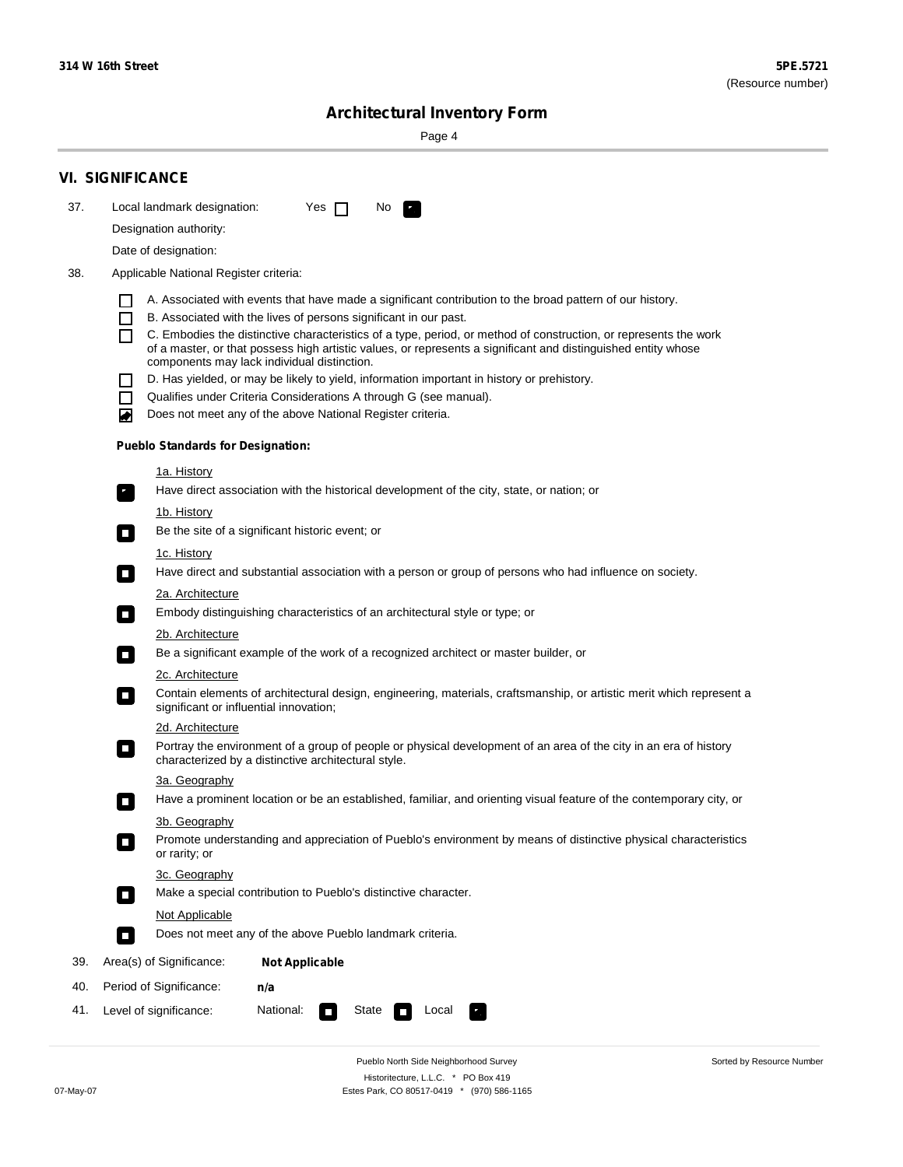Sorted by Resource Number

# **Architectural Inventory Form**

Page 4

|     | <b>VI. SIGNIFICANCE</b>                                                                                                                                                                                  |  |  |  |  |  |  |
|-----|----------------------------------------------------------------------------------------------------------------------------------------------------------------------------------------------------------|--|--|--|--|--|--|
| 37. | Local landmark designation:<br>Yes $\Box$<br>No.<br>×.                                                                                                                                                   |  |  |  |  |  |  |
|     | Designation authority:                                                                                                                                                                                   |  |  |  |  |  |  |
|     | Date of designation:                                                                                                                                                                                     |  |  |  |  |  |  |
| 38. | Applicable National Register criteria:                                                                                                                                                                   |  |  |  |  |  |  |
|     |                                                                                                                                                                                                          |  |  |  |  |  |  |
|     | A. Associated with events that have made a significant contribution to the broad pattern of our history.<br>B. Associated with the lives of persons significant in our past.<br>$\overline{\phantom{a}}$ |  |  |  |  |  |  |
|     | C. Embodies the distinctive characteristics of a type, period, or method of construction, or represents the work                                                                                         |  |  |  |  |  |  |
|     | of a master, or that possess high artistic values, or represents a significant and distinguished entity whose<br>components may lack individual distinction.                                             |  |  |  |  |  |  |
|     | D. Has yielded, or may be likely to yield, information important in history or prehistory.                                                                                                               |  |  |  |  |  |  |
|     | Qualifies under Criteria Considerations A through G (see manual).                                                                                                                                        |  |  |  |  |  |  |
|     | Does not meet any of the above National Register criteria.<br>◢                                                                                                                                          |  |  |  |  |  |  |
|     | <b>Pueblo Standards for Designation:</b>                                                                                                                                                                 |  |  |  |  |  |  |
|     | <u>1a. History</u>                                                                                                                                                                                       |  |  |  |  |  |  |
|     | Have direct association with the historical development of the city, state, or nation; or<br>$\overline{\phantom{a}}$ ,                                                                                  |  |  |  |  |  |  |
|     | <u>1b. History</u>                                                                                                                                                                                       |  |  |  |  |  |  |
|     | Be the site of a significant historic event; or<br>$\Box$                                                                                                                                                |  |  |  |  |  |  |
|     | 1c. History                                                                                                                                                                                              |  |  |  |  |  |  |
|     | Have direct and substantial association with a person or group of persons who had influence on society.<br>$\overline{\phantom{a}}$                                                                      |  |  |  |  |  |  |
|     | 2a. Architecture<br>Embody distinguishing characteristics of an architectural style or type; or                                                                                                          |  |  |  |  |  |  |
|     | $\mathcal{L}_{\mathcal{A}}$                                                                                                                                                                              |  |  |  |  |  |  |
|     | <u>2b. Architecture</u><br>Be a significant example of the work of a recognized architect or master builder, or<br>$\Box$                                                                                |  |  |  |  |  |  |
|     | <b>2c. Architecture</b>                                                                                                                                                                                  |  |  |  |  |  |  |
|     | Contain elements of architectural design, engineering, materials, craftsmanship, or artistic merit which represent a<br>$\sim$<br>significant or influential innovation;                                 |  |  |  |  |  |  |
|     | <u>2d. Architecture</u>                                                                                                                                                                                  |  |  |  |  |  |  |
|     | Portray the environment of a group of people or physical development of an area of the city in an era of history<br>$\Box$<br>characterized by a distinctive architectural style.                        |  |  |  |  |  |  |
|     | 3a. Geography                                                                                                                                                                                            |  |  |  |  |  |  |
|     | Have a prominent location or be an established, familiar, and orienting visual feature of the contemporary city, or                                                                                      |  |  |  |  |  |  |
|     | 3b. Geography                                                                                                                                                                                            |  |  |  |  |  |  |
|     | Promote understanding and appreciation of Pueblo's environment by means of distinctive physical characteristics<br>or rarity; or                                                                         |  |  |  |  |  |  |
|     | 3c. Geography                                                                                                                                                                                            |  |  |  |  |  |  |
|     | Make a special contribution to Pueblo's distinctive character.<br>$\sim$                                                                                                                                 |  |  |  |  |  |  |
|     | Not Applicable                                                                                                                                                                                           |  |  |  |  |  |  |
|     | Does not meet any of the above Pueblo landmark criteria.<br>$\Box$                                                                                                                                       |  |  |  |  |  |  |
| 39. | Area(s) of Significance:<br><b>Not Applicable</b>                                                                                                                                                        |  |  |  |  |  |  |
| 40. | Period of Significance:<br>n/a                                                                                                                                                                           |  |  |  |  |  |  |
| 41. | National:<br>Level of significance:<br>State<br>Local<br>$\Box$<br>$\sim$                                                                                                                                |  |  |  |  |  |  |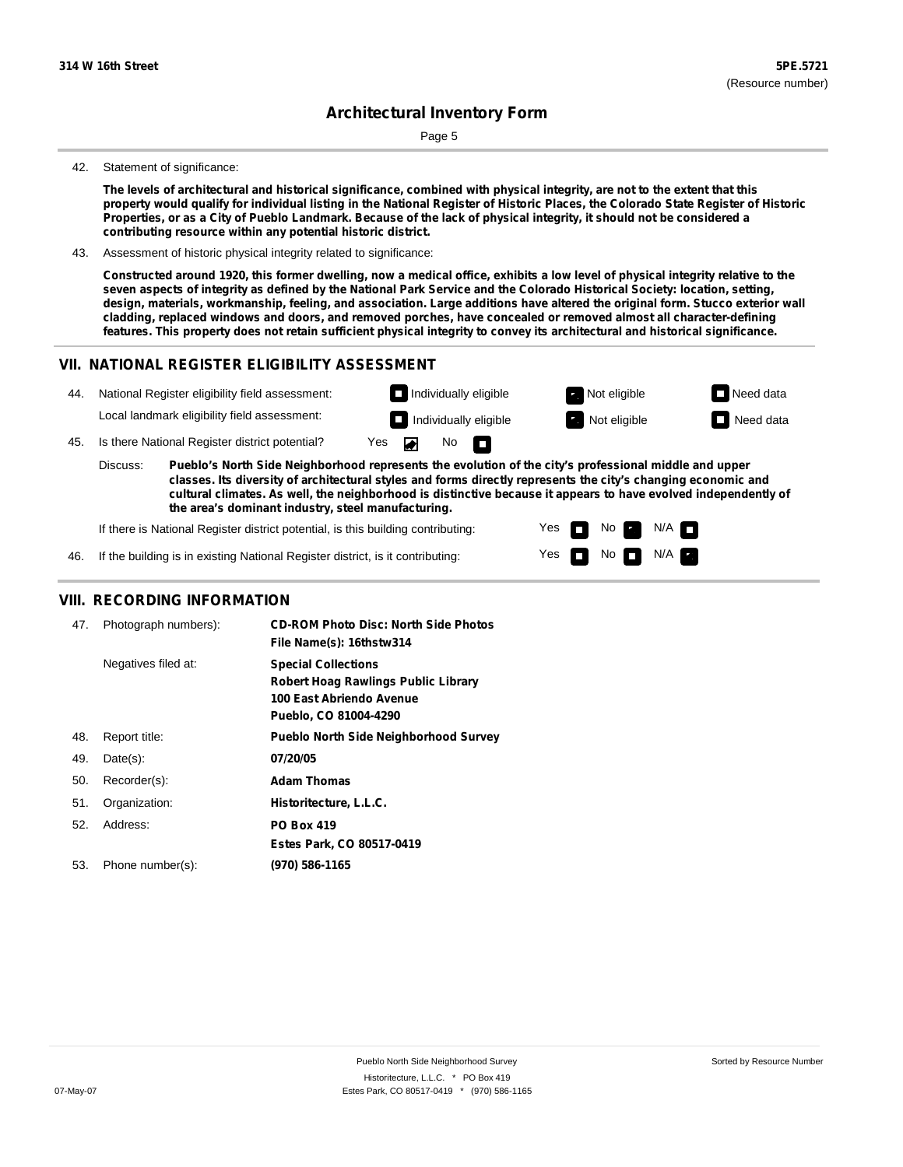Page 5

#### 42. Statement of significance:

The levels of architectural and historical significance, combined with physical integrity, are not to the extent that this property would qualify for individual listing in the National Register of Historic Places, the Colorado State Register of Historic Properties, or as a City of Pueblo Landmark. Because of the lack of physical integrity, it should not be considered a **contributing resource within any potential historic district.**

43. Assessment of historic physical integrity related to significance:

Constructed around 1920, this former dwelling, now a medical office, exhibits a low level of physical integrity relative to the seven aspects of integrity as defined by the National Park Service and the Colorado Historical Society: location, setting, design, materials, workmanship, feeling, and association. Large additions have altered the original form. Stucco exterior wall **cladding, replaced windows and doors, and removed porches, have concealed or removed almost all character-defining** features. This property does not retain sufficient physical integrity to convey its architectural and historical significance.

#### **VII. NATIONAL REGISTER ELIGIBILITY ASSESSMENT**



Yes Yes

П

No

No  $\blacksquare$  N/A

 $N/A$ 

If there is National Register district potential, is this building contributing:

If the building is in existing National Register district, is it contributing: 46.

#### **VIII. RECORDING INFORMATION**

| 47. | Photograph numbers): | <b>CD-ROM Photo Disc: North Side Photos</b><br>File Name(s): 16thstw314                                                       |
|-----|----------------------|-------------------------------------------------------------------------------------------------------------------------------|
|     | Negatives filed at:  | <b>Special Collections</b><br><b>Robert Hoag Rawlings Public Library</b><br>100 East Abriendo Avenue<br>Pueblo, CO 81004-4290 |
| 48. | Report title:        | <b>Pueblo North Side Neighborhood Survey</b>                                                                                  |
| 49. | $Date(s)$ :          | 07/20/05                                                                                                                      |
| 50. | Recorder(s):         | <b>Adam Thomas</b>                                                                                                            |
| 51. | Organization:        | Historitecture, L.L.C.                                                                                                        |
| 52. | Address:             | <b>PO Box 419</b>                                                                                                             |
|     |                      | Estes Park, CO 80517-0419                                                                                                     |
| 53. | Phone number(s):     | (970) 586-1165                                                                                                                |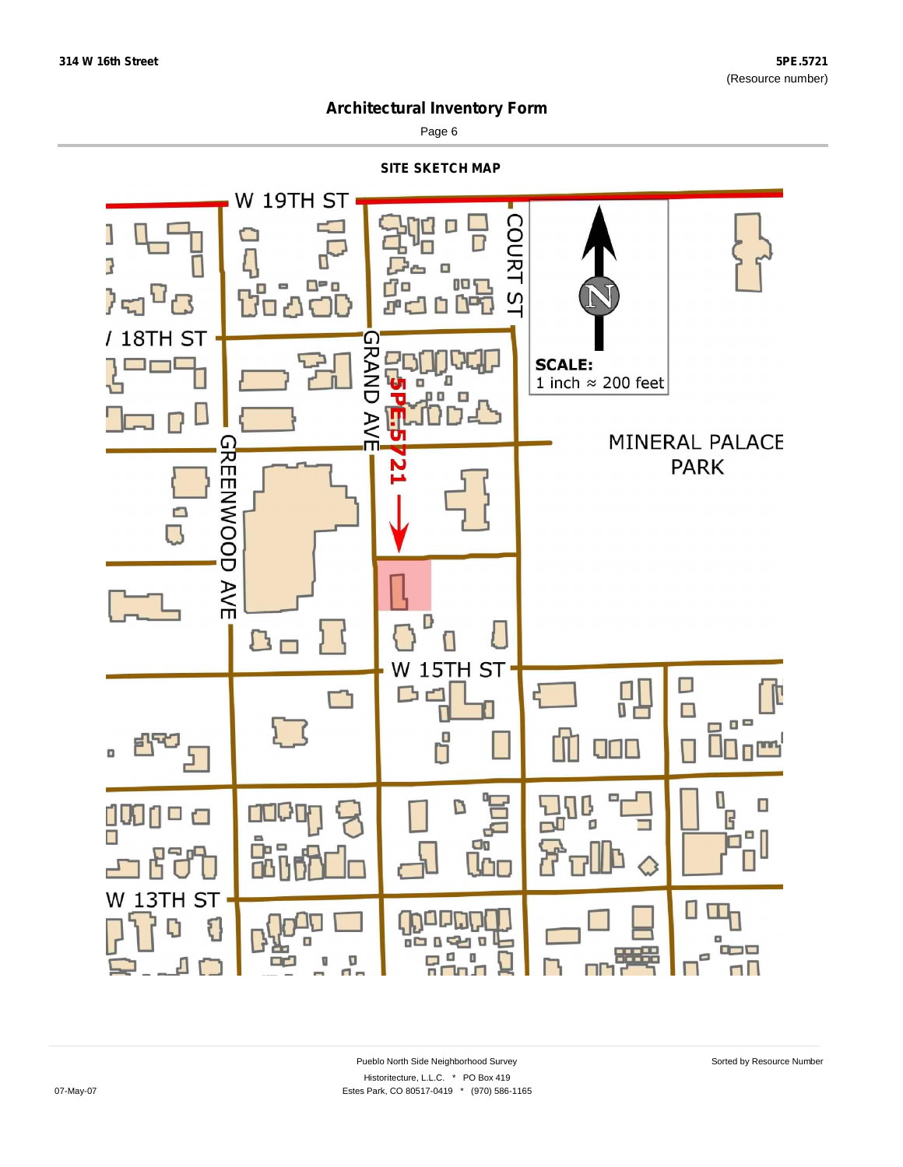

Page 6